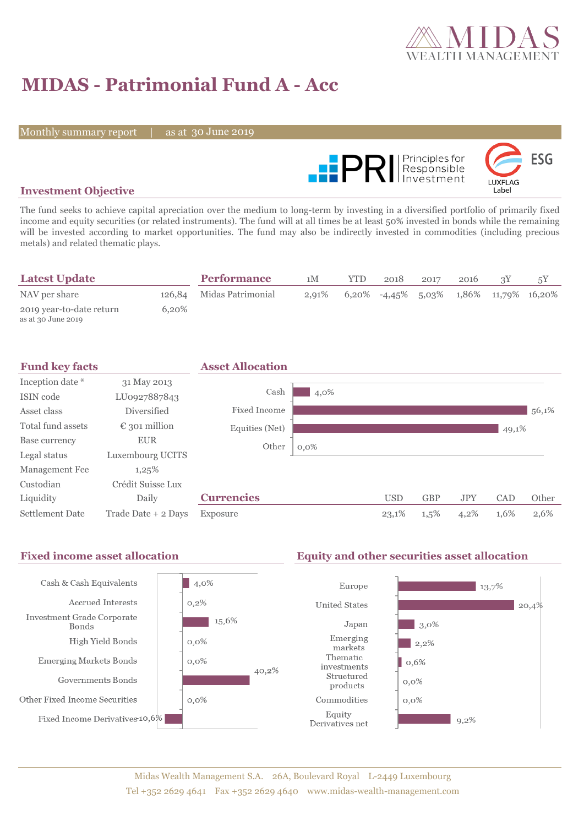

# **MIDAS - Patrimonial Fund A - Acc**

Monthly summary report

30 June 2019



### **Investment Objective**

The fund seeks to achieve capital apreciation over the medium to long-term by investing in a diversified portfolio of primarily fixed income and equity securities (or related instruments). The fund will at all times be at least 50% invested in bonds while the remaining will be invested according to market opportunities. The fund may also be indirectly invested in commodities (including precious metals) and related thematic plays.

| <b>Latest Update</b>                           |       | <b>Performance</b>       | 1M       | <b>YTD</b> | 2018                                           | 2017 | 2016 |  |
|------------------------------------------------|-------|--------------------------|----------|------------|------------------------------------------------|------|------|--|
| NAV per share                                  |       | 126,84 Midas Patrimonial | $2.91\%$ |            | $6,20\%$ -4,45\% 5,03\% 1,86\% 11,79\% 16,20\% |      |      |  |
| 2019 year-to-date return<br>as at 30 June 2019 | 6.20% |                          |          |            |                                                |      |      |  |



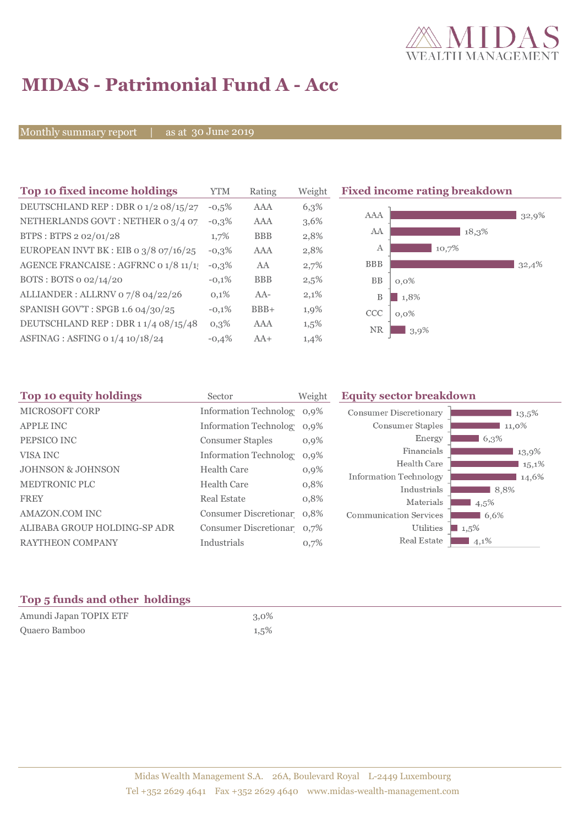

## **MIDAS - Patrimonial Fund A - Acc**

Monthly summary report

as at 30 June 2019

| YTM      | Rating     | Weight  |
|----------|------------|---------|
| $-0.5%$  | AAA        | 6,3%    |
| $-0.3\%$ | AAA        | 3,6%    |
| 1,7%     | <b>BBB</b> | 2,8%    |
| $-0.3\%$ | AAA        | 2,8%    |
| $-0.3%$  | AA         | 2,7%    |
| $-0.1%$  | <b>BBB</b> | 2,5%    |
| 0,1%     | $AA-$      | 2,1%    |
| $-0.1%$  | $BBB+$     | 1,9%    |
| $0,3\%$  | AAA        | $1,5\%$ |
| $-0.4%$  | $AA+$      | 1,4%    |
|          |            |         |

**Fixed income rating breakdown** 



| Sector                  | Weight                                   | <b>Equity sector breakdown</b>                                                                                                                                                  |                                              |
|-------------------------|------------------------------------------|---------------------------------------------------------------------------------------------------------------------------------------------------------------------------------|----------------------------------------------|
|                         |                                          | <b>Consumer Discretionary</b>                                                                                                                                                   | 13,5%                                        |
|                         |                                          | Consumer Staples                                                                                                                                                                | 11,0%                                        |
| <b>Consumer Staples</b> | $0,9\%$                                  | Energy                                                                                                                                                                          | 6,3%                                         |
|                         | $0.9\%$                                  | Financials                                                                                                                                                                      | 13,9%                                        |
| <b>Health Care</b>      |                                          | Health Care                                                                                                                                                                     | 15,1%                                        |
|                         |                                          |                                                                                                                                                                                 | 14,6%                                        |
|                         |                                          |                                                                                                                                                                                 | 8.8%                                         |
|                         |                                          | Materials                                                                                                                                                                       | 4,5%                                         |
|                         |                                          | <b>Communication Services</b>                                                                                                                                                   | 6,6%                                         |
|                         |                                          | Utilities                                                                                                                                                                       | $1,5\%$                                      |
| Industrials             | 0,7%                                     | Real Estate                                                                                                                                                                     | $4,1\%$                                      |
|                         | <b>Health Care</b><br><b>Real Estate</b> | Information Technolog 0,9%<br>Information Technolog 0,9%<br><b>Information Technolog</b><br>$0,9\%$<br>0,8%<br>0,8%<br>Consumer Discretionar 0,8%<br>Consumer Discretionar 0.7% | <b>Information Technology</b><br>Industrials |

### **Top 5 funds and other holdings**

| Amundi Japan TOPIX ETF | $3.0\%$ |
|------------------------|---------|
| Quaero Bamboo          | 1,5%    |